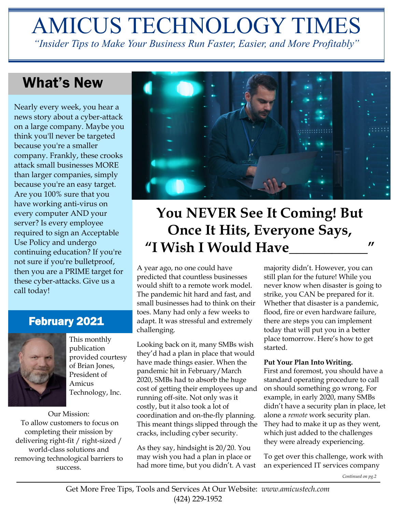# AMICUS TECHNOLOGY TIMES *"Insider Tips to Make Your Business Run Faster, Easier, and More Profitably"*

## What's New

Nearly every week, you hear a news story about a cyber-attack on a large company. Maybe you think you'll never be targeted because you're a smaller company. Frankly, these crooks attack small businesses MORE than larger companies, simply because you're an easy target. Are you 100% sure that you have working anti-virus on every computer AND your server? Is every employee required to sign an Acceptable Use Policy and undergo continuing education? If you're not sure if you're bulletproof, then you are a PRIME target for these cyber-attacks. Give us a call today!

## February 2021



This monthly publication provided courtesy of Brian Jones, President of Amicus Technology, Inc.

Our Mission: To allow customers to focus on completing their mission by delivering right-fit / right-sized / world-class solutions and removing technological barriers to success.



# **You NEVER See It Coming! But Once It Hits, Everyone Says, "I Wish I Would Have\_\_\_\_\_\_\_\_\_\_\_"**

A year ago, no one could have predicted that countless businesses would shift to a remote work model. The pandemic hit hard and fast, and small businesses had to think on their toes. Many had only a few weeks to adapt. It was stressful and extremely challenging.

Looking back on it, many SMBs wish they'd had a plan in place that would have made things easier. When the pandemic hit in February/March 2020, SMBs had to absorb the huge cost of getting their employees up and running off-site. Not only was it costly, but it also took a lot of coordination and on-the-fly planning. This meant things slipped through the cracks, including cyber security.

As they say, hindsight is 20/20. You may wish you had a plan in place or had more time, but you didn't. A vast majority didn't. However, you can still plan for the future! While you never know when disaster is going to strike, you CAN be prepared for it. Whether that disaster is a pandemic, flood, fire or even hardware failure, there are steps you can implement today that will put you in a better place tomorrow. Here's how to get started.

#### **Put Your Plan Into Writing.**

First and foremost, you should have a standard operating procedure to call on should something go wrong. For example, in early 2020, many SMBs didn't have a security plan in place, let alone a *remote* work security plan. They had to make it up as they went, which just added to the challenges they were already experiencing.

To get over this challenge, work with an experienced IT services company

*Continued on pg.2*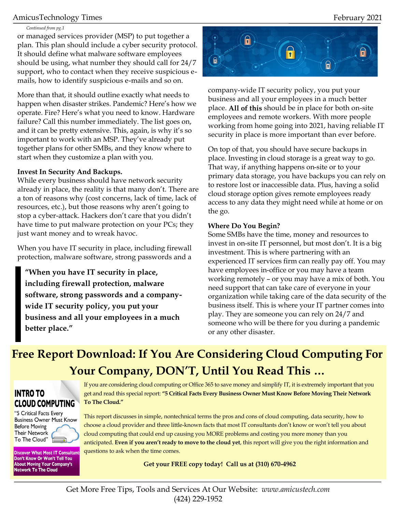### AmicusTechnology Times February 2021

#### *Continued from pg.1*

or managed services provider (MSP) to put together a plan. This plan should include a cyber security protocol. It should define what malware software employees should be using, what number they should call for 24/7 support, who to contact when they receive suspicious emails, how to identify suspicious e-mails and so on.

More than that, it should outline exactly what needs to happen when disaster strikes. Pandemic? Here's how we operate. Fire? Here's what you need to know. Hardware failure? Call this number immediately. The list goes on, and it can be pretty extensive. This, again, is why it's so important to work with an MSP. They've already put together plans for other SMBs, and they know where to start when they customize a plan with you.

#### **Invest In Security And Backups.**

While every business should have network security already in place, the reality is that many don't. There are a ton of reasons why (cost concerns, lack of time, lack of resources, etc.), but those reasons why aren't going to stop a cyber-attack. Hackers don't care that you didn't have time to put malware protection on your PCs; they just want money and to wreak havoc.

When you have IT security in place, including firewall protection, malware software, strong passwords and a

**"When you have IT security in place, including firewall protection, malware software, strong passwords and a companywide IT security policy, you put your business and all your employees in a much better place."**



company-wide IT security policy, you put your business and all your employees in a much better place. **All of this** should be in place for both on-site employees and remote workers. With more people working from home going into 2021, having reliable IT security in place is more important than ever before.

On top of that, you should have secure backups in place. Investing in cloud storage is a great way to go. That way, if anything happens on-site or to your primary data storage, you have backups you can rely on to restore lost or inaccessible data. Plus, having a solid cloud storage option gives remote employees ready access to any data they might need while at home or on the go.

#### **Where Do You Begin?**

Some SMBs have the time, money and resources to invest in on-site IT personnel, but most don't. It is a big investment. This is where partnering with an experienced IT services firm can really pay off. You may have employees in-office or you may have a team working remotely – or you may have a mix of both. You need support that can take care of everyone in your organization while taking care of the data security of the business itself. This is where your IT partner comes into play. They are someone you can rely on 24/7 and someone who will be there for you during a pandemic or any other disaster.

## **Free Report Download: If You Are Considering Cloud Computing For Your Company, DON'T, Until You Read This …**

### **INTRO TO CLOUD COMPUTING**

"5 Critical Facts Every **Business Owner Must Know Before Moving Their Network** To The Cloud"

**Discover What Most IT Consultants** Don't Know Or Won't Tell You About Moving Your Company's **Network To The Cloud** 

If you are considering cloud computing or Office 365 to save money and simplify IT, it is extremely important that you get and read this special report: **"5 Critical Facts Every Business Owner Must Know Before Moving Their Network To The Cloud."**

This report discusses in simple, nontechnical terms the pros and cons of cloud computing, data security, how to choose a cloud provider and three little-known facts that most IT consultants don't know or won't tell you about cloud computing that could end up causing you MORE problems and costing you more money than you anticipated. **Even if you aren't ready to move to the cloud yet**, this report will give you the right information and questions to ask when the time comes.

**Get your FREE copy today! Call us at (310) 670-4962**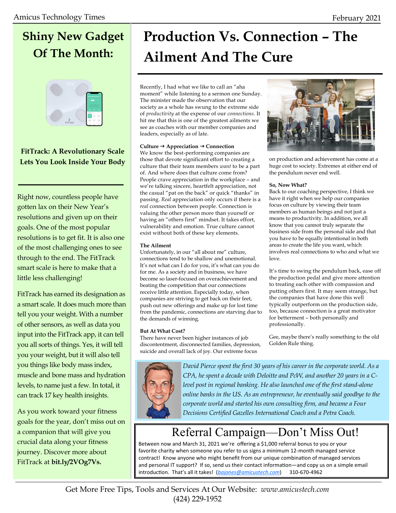# **Shiny New Gadget Of The Month:**



### **FitTrack: A Revolutionary Scale Lets You Look Inside Your Body**

Right now, countless people have gotten lax on their New Year's resolutions and given up on their goals. One of the most popular resolutions is to get fit. It is also one of the most challenging ones to see through to the end. The FitTrack smart scale is here to make that a little less challenging!

FitTrack has earned its designation as a smart scale. It does much more than tell you your weight. With a number of other sensors, as well as data you input into the FitTrack app, it can tell you all sorts of things. Yes, it will tell you your weight, but it will also tell you things like body mass index, muscle and bone mass and hydration levels, to name just a few. In total, it can track 17 key health insights.

As you work toward your fitness goals for the year, don't miss out on a companion that will give you crucial data along your fitness journey. Discover more about FitTrack at **bit.ly/2VOg7Vs.**

# **Production Vs. Connection – The Ailment And The Cure**

Recently, I had what we like to call an "aha moment" while listening to a sermon one Sunday. The minister made the observation that our society as a whole has swung to the extreme side of *productivity* at the expense of our *connections*. It hit me that this is one of the greatest ailments we see as coaches with our member companies and leaders, especially as of late.

#### **Culture Appreciation Connection**

We know the best-performing companies are those that devote significant effort to creating a culture that their team members *want* to be a part of. And where does that culture come from? People crave appreciation in the workplace – and we're talking sincere, heartfelt appreciation, not the casual "pat on the back" or quick "thanks" in passing. *Real* appreciation only occurs if there is a *real* connection between people. Connection is valuing the other person more than yourself or having an "others first" mindset. It takes effort, vulnerability and emotion. True culture cannot exist without both of these key elements.

#### **The Ailment**

Unfortunately, in our "all about me" culture, connections tend to be shallow and unemotional. It's not what can I do for you, it's what can you do for me. As a society and in business, we have become so laser-focused on overachievement and beating the competition that our connections receive little attention. Especially today, when companies are striving to get back on their feet, push out new offerings and make up for lost time from the pandemic, connections are starving due to the demands of winning.

#### **But At What Cost?**

There have never been higher instances of job discontentment, disconnected families, depression, suicide and overall lack of joy. Our extreme focus



on production and achievement has come at a huge cost to society. Extremes at either end of the pendulum never end well.

#### **So, Now What?**

Back to our coaching perspective, I think we have it right when we help our companies focus on culture by viewing their team members as human beings and not just a means to productivity. In addition, we all know that you cannot truly separate the business side from the personal side and that you have to be equally intentional in both areas to create the life you want, which involves real connections to who and what we love.

It's time to swing the pendulum back, ease off the production pedal and give more attention to treating each other with compassion and putting others first. It may seem strange, but the companies that have done this well typically outperform on the production side, too, because connection is a great motivator for betterment – both personally and professionally.

Gee, maybe there's really something to the old Golden Rule thing.



*David Pierce spent the first 30 years of his career in the corporate world. As a CPA, he spent a decade with Deloitte and PcW, and another 20 years in a Clevel post in regional banking. He also launched one of the first stand-alone online banks in the US. As an entrepreneur, he eventually said goodbye to the corporate world and started his own consulting firm, and became a Four Decisions Certified Gazelles International Coach and a Petra Coach.*

## Referral Campaign—Don't Miss Out!

Between now and March 31, 2021 we're offering a \$1,000 referral bonus to you or your favorite charity when someone you refer to us signs a minimum 12-month managed service contract! Know anyone who might benefit from our unique combination of managed services and personal IT support? If so, send us their contact information—and copy us on a simple email introduction. That's all it takes! (*[bajones@amicustech.com](mailto:bajones@amicustech.com?subject=I%20hav%20a%20referral%20for%20you!)*) 310-670-4962